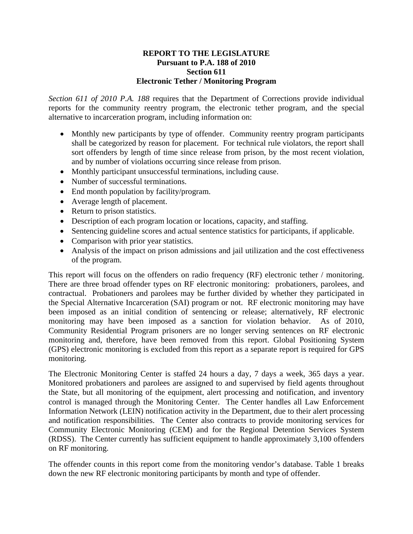## **REPORT TO THE LEGISLATURE Pursuant to P.A. 188 of 2010 Section 611 Electronic Tether / Monitoring Program**

*Section 611 of 2010 P.A. 188* requires that the Department of Corrections provide individual reports for the community reentry program, the electronic tether program, and the special alternative to incarceration program, including information on:

- Monthly new participants by type of offender. Community reentry program participants shall be categorized by reason for placement. For technical rule violators, the report shall sort offenders by length of time since release from prison, by the most recent violation, and by number of violations occurring since release from prison.
- Monthly participant unsuccessful terminations, including cause.
- Number of successful terminations.
- End month population by facility/program.
- Average length of placement.
- Return to prison statistics.
- Description of each program location or locations, capacity, and staffing.
- Sentencing guideline scores and actual sentence statistics for participants, if applicable.
- Comparison with prior year statistics.
- Analysis of the impact on prison admissions and jail utilization and the cost effectiveness of the program.

This report will focus on the offenders on radio frequency (RF) electronic tether / monitoring. There are three broad offender types on RF electronic monitoring: probationers, parolees, and contractual. Probationers and parolees may be further divided by whether they participated in the Special Alternative Incarceration (SAI) program or not. RF electronic monitoring may have been imposed as an initial condition of sentencing or release; alternatively, RF electronic monitoring may have been imposed as a sanction for violation behavior. As of 2010, Community Residential Program prisoners are no longer serving sentences on RF electronic monitoring and, therefore, have been removed from this report. Global Positioning System (GPS) electronic monitoring is excluded from this report as a separate report is required for GPS monitoring.

The Electronic Monitoring Center is staffed 24 hours a day, 7 days a week, 365 days a year. Monitored probationers and parolees are assigned to and supervised by field agents throughout the State, but all monitoring of the equipment, alert processing and notification, and inventory control is managed through the Monitoring Center. The Center handles all Law Enforcement Information Network (LEIN) notification activity in the Department, due to their alert processing and notification responsibilities. The Center also contracts to provide monitoring services for Community Electronic Monitoring (CEM) and for the Regional Detention Services System (RDSS). The Center currently has sufficient equipment to handle approximately 3,100 offenders on RF monitoring.

The offender counts in this report come from the monitoring vendor's database. Table 1 breaks down the new RF electronic monitoring participants by month and type of offender.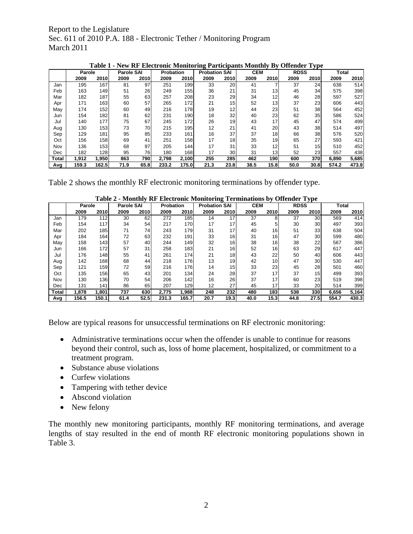Report to the Legislature Sec. 611 of 2010 P.A. 188 - Electronic Tether / Monitoring Program March 2011

|       | .<br>----<br><b>VIVID WALLUM</b> |       |                   |             |           |             |                      | . .             | ◡<br>      | $\sim$ $\sim$   |             |      |              |       |
|-------|----------------------------------|-------|-------------------|-------------|-----------|-------------|----------------------|-----------------|------------|-----------------|-------------|------|--------------|-------|
|       | Parole                           |       | <b>Parole SAI</b> |             | Probation |             | <b>Probation SAI</b> |                 | <b>CEM</b> |                 | <b>RDSS</b> |      | <b>Total</b> |       |
|       | 2009                             | 2010  | 2009              | <b>2010</b> | 2009      | <b>2010</b> | 2009                 | 2010            | 2009       | 2010            | 2009        | 2010 | 2009         | 2010  |
| Jan   | 195                              | 167   | 81                | 97          | 251       | 199         | 33                   | 20              | 41         |                 | 37          | 24   | 638          | 514   |
| Feb   | 163                              | 149   | 51                | 26          | 249       | 155         | 36                   | 21              | 31         | 13              | 45          | 34   | 575          | 398   |
| Mar   | 182                              | 187   | 55                | 63          | 257       | 208         | 23                   | 29              | 34         | 12              | 46          | 28   | 597          | 527   |
| Apr   | 171                              | 163   | 60                | 57          | 265       | 172         | 21                   | 15 <sub>1</sub> | 52         | 13              | 37          | 23   | 606          | 443   |
| May   | 174                              | 152   | 60                | 49          | 216       | <b>178</b>  | 19                   | 12              | 44         | 23              | 51          | 38   | 564          | 452   |
| Jun   | 154                              | 182   | 81                | 62          | 231       | 190         | 18                   | 32              | 40         | 23              | 62          | 35   | 586          | 524   |
| Jul   | 140                              | 177   | 75                | 67          | 245       | 172         | 26                   | 19              | 43         | 17              | 45          | 47   | 574          | 499   |
| Aug   | 130                              | 153   | 73                | 70          | 215       | 195         | 12                   | 21              | 41         | 20              | 43          | 38   | 514          | 497   |
| Sep   | 129                              | 181   | 95                | 85          | 233       | 161         | 16                   | 37              | 37         | 18              | 66          | 38   | 576          | 520   |
| Oct   | 156                              | 158   | 69                | 41          | 251       | 158         | 17                   | 18              | 35         | 19              | 65          | 27   | 593          | 421   |
| Nov   | 136                              | 153   | 68                | 97          | 205       | 144         | 17                   | 31              | 33         | 12              | 51          | 15   | 510          | 452   |
| Dec   | 182                              | 128   | 95                | 76          | 180       | 168         | 17                   | 30              | 31         | 13 <sub>1</sub> | 52          | 23   | 557          | 438   |
| Total | 1,912                            | 1,950 | 863               | 790I        | 2,798     | 2,100       | 255                  | 285             | 462        | 190             | 600         | 370  | 6,890        | 5,685 |
| Avg   | 159.3                            | 162.5 | 71.9              | 65.8        | 233.2     | 175.0       | 21.3                 | 23.8            | 38.5       | 15.8            | 50.0        | 30.8 | 574.2        | 473.8 |

**Table 1 - New RF Electronic Monitoring Participants Monthly By Offender Type**

Table 2 shows the monthly RF electronic monitoring terminations by offender type.

|       | rabic 2 - Montiny Kr Encelvoine Montioring Terminations by Offender Type |       |                   |      |           |       |                      |      |            |                 |             |                 |              |       |
|-------|--------------------------------------------------------------------------|-------|-------------------|------|-----------|-------|----------------------|------|------------|-----------------|-------------|-----------------|--------------|-------|
|       | Parole                                                                   |       | <b>Parole SAI</b> |      | Probation |       | <b>Probation SAI</b> |      | <b>CEM</b> |                 | <b>RDSS</b> |                 | <b>Total</b> |       |
|       | 2009                                                                     | 2010  | 2009              | 2010 | 2009      | 2010  | 2009                 | 2010 | 2009       | 2010            | 2009        | <b>2010</b>     | 2009         | 2010  |
| Jan   | 179                                                                      | 112   | 30                | 62   | 272       | 185   | 14                   | 17   | 37         | 8               | 37          | 30 <sup>1</sup> | 569          | 414   |
| Feb   | 154                                                                      | 117   | 34                | 54   | 217       | 170   | 17                   | 17   | 45         |                 | 30          | 30 <sup>1</sup> | 497          | 393   |
| Mar   | 202                                                                      | 185   | 71                | 74   | 243       | 179   | 31                   | 17   | 40         | 16 <sub>l</sub> | 51          | 33              | 638          | 504   |
| Apr   | 184                                                                      | 164   | 72                | 63   | 232       | 191   | 33                   | 16   | 31         | 16              | 47          | 30 <sup>1</sup> | 599          | 480   |
| May   | 158                                                                      | 143   | 57                | 40   | 244       | 149   | 32                   | 16   | 38         | 16              | 38          | 22              | 567          | 386   |
| Jun   | 166                                                                      | 172   | 57                | 31   | 258       | 183   | 21                   | 16   | 52         | 16              | 63          | 29              | 617          | 447   |
| Jul   | 176                                                                      | 148   | 55                | 41   | 261       | 174   | 21                   | 18   | 43         | 22              | 50          | 40              | 606          | 443   |
| Aug   | 142                                                                      | 168   | 68                | 44   | 218       | 176   | 13                   | 19   | 42         | 10 <sup>1</sup> | 47          | 30 <sup>2</sup> | 530          | 447   |
| Sep   | 121                                                                      | 159   | 72                | 59   | 216       | 176   | 14                   | 15   | 33         | 23              | 45          | 28              | 501          | 460   |
| Oct   | 135                                                                      | 156   | 65                | 43   | 201       | 134   | 24                   | 28   | 37         | 17              | 37          | 15              | 499          | 393   |
| Nov   | 130                                                                      | 136   | 70                | 54   | 206       | 142   | 16                   | 26   | 37         | 17              | 60          | 23              | 519          | 398   |
| Dec   | 131                                                                      | 141   | 86                | 65   | 207       | 129   | 12                   | 27   | 45         | 17              | 33          | 20              | 514          | 399   |
| Total | 1,878                                                                    | 1,801 | 737               | 630  | 2.775     | 1,988 | 248                  | 232  | 480        | 183             | 538         | 330             | 6,656        | 5,164 |
| Avg   | 156.5                                                                    | 150.1 | 61.4              | 52.5 | 231.3     | 165.7 | 20.7                 | 19.3 | 40.0       | 15.3            | 44.8        | 27.5            | 554.7        | 430.3 |

**Table 2 - Monthly RF Electronic Monitoring Terminations by Offender Type** 

Below are typical reasons for unsuccessful terminations on RF electronic monitoring:

- Administrative terminations occur when the offender is unable to continue for reasons beyond their control, such as, loss of home placement, hospitalized, or commitment to a treatment program.
- Substance abuse violations
- Curfew violations
- Tampering with tether device
- Abscond violation
- New felony

The monthly new monitoring participants, monthly RF monitoring terminations, and average lengths of stay resulted in the end of month RF electronic monitoring populations shown in Table 3.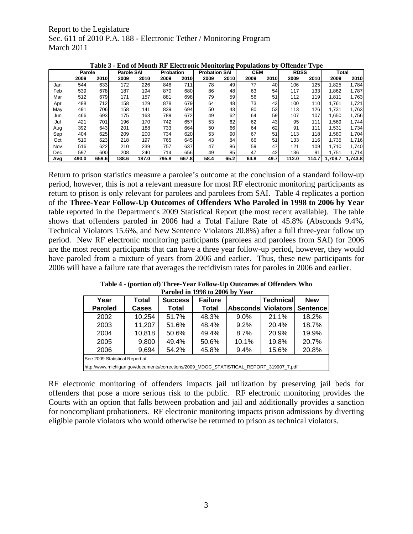Report to the Legislature Sec. 611 of 2010 P.A. 188 - Electronic Tether / Monitoring Program March 2011

|     | ravic J<br>тич от глошин та<br>$\frac{1}{2}$ ERCGI UMC MOMITOTING TO punations by |        |       |                   |                  |       |                      |                 | <b>ULLUREL</b><br>$\mathbf{y}$ |      |             |             |         |         |
|-----|-----------------------------------------------------------------------------------|--------|-------|-------------------|------------------|-------|----------------------|-----------------|--------------------------------|------|-------------|-------------|---------|---------|
|     |                                                                                   | Parole |       | <b>Parole SAI</b> | <b>Probation</b> |       | <b>Probation SAI</b> |                 | <b>CEM</b>                     |      | <b>RDSS</b> |             | Total   |         |
|     | 2009                                                                              | 2010   | 2009  | 2010              | 2009             | 2010  | 2009                 | 2010            | 2009                           | 2010 | 2009        | <b>2010</b> | 2009    | 2010    |
| Jan | 544                                                                               | 633    | 172   | 226               | 848              | 711   | 78                   | 49              | 77                             | 40   | 106         | 125         | 1,825   | 1,784   |
| Feb | 539                                                                               | 678    | 187   | 194               | 870              | 680   | 86                   | 48              | 63                             | 54   | 117         | 133         | 1,862   | 1,787   |
| Mar | 512                                                                               | 679    | 171   | 157               | 881              | 698   | 79                   | 59              | 56                             | 51   | 112         | 119         | 1.811   | 1,763   |
| Apr | 488                                                                               | 712    | 158   | 129               | 878              | 679   | 64                   | 48              | 73                             | 43   | 100         | 110         | 1,761   | 1,721   |
| May | 491                                                                               | 706    | 158   | 141               | 839              | 694   | 50                   | 43              | 80                             | 53   | 113         | 126         | 1.731   | 1,763   |
| Jun | 466                                                                               | 693    | 175   | 163               | 789              | 672   | 49                   | 62              | 64                             | 59   | 107         | 107         | 1,650   | 1,756   |
| Jul | 421                                                                               | 701    | 196   | 170               | 742              | 657   | 53                   | 62              | 62                             | 43   | 95          | 111         | 1,569   | 1,744   |
| Aug | 392                                                                               | 643    | 201   | 188               | 733              | 664   | 50                   | 66              | 64                             | 62   | 91          | 111         | 1,531   | 1,734   |
| Sep | 404                                                                               | 625    | 209   | 200               | 734              | 620   | 53                   | 90 <sub>0</sub> | 67                             | 51   | 113         | 118         | 1,580   | 1,704   |
| Oct | 510                                                                               | 623    | 218   | 197               | 765              | 645   | 43                   | 84              | 66                             | 51   | 133         | <b>116</b>  | 1,735   | 1,716   |
| Nov | 516                                                                               | 622    | 210   | 239               | 757              | 637   | 47                   | 86              | 59                             | 47   | 121         | 109         | 1.710   | 1,740   |
| Dec | 597                                                                               | 600    | 208   | 240               | 714              | 656   | 49                   | 85              | 47                             | 42   | 136         | 91          | 1.751   | 1,714   |
| Avg | 490.0                                                                             | 659.6  | 188.6 | 187.0             | 795.8            | 667.8 | 58.4                 | 65.2            | 64.8                           | 49.7 | 112.0       | 114.7       | 1.709.7 | 1.743.8 |

**Table 3 - End of Month RF Electronic Monitoring Populations by Offender Type** 

Return to prison statistics measure a parolee's outcome at the conclusion of a standard follow-up period, however, this is not a relevant measure for most RF electronic monitoring participants as return to prison is only relevant for parolees and parolees from SAI. Table 4 replicates a portion of the **Three-Year Follow-Up Outcomes of Offenders Who Paroled in 1998 to 2006 by Year** table reported in the Department's 2009 Statistical Report (the most recent available). The table shows that offenders paroled in 2006 had a Total Failure Rate of 45.8% (Absconds 9.4%, Technical Violators 15.6%, and New Sentence Violators 20.8%) after a full three-year follow up period. New RF electronic monitoring participants (parolees and parolees from SAI) for 2006 are the most recent participants that can have a three year follow-up period, however, they would have paroled from a mixture of years from 2006 and earlier. Thus, these new participants for 2006 will have a failure rate that averages the recidivism rates for paroles in 2006 and earlier.

**Table 4 - (portion of) Three-Year Follow-Up Outcomes of Offenders Who Paroled in 1998 to 2006 by Year** 

| Year                                                                                    | Total                                                | <b>Success</b> | <b>Failure</b> |                 | <b>Technical</b> | <b>New</b>           |  |  |  |
|-----------------------------------------------------------------------------------------|------------------------------------------------------|----------------|----------------|-----------------|------------------|----------------------|--|--|--|
| <b>Paroled</b>                                                                          | <b>Cases</b>                                         | Total          | <b>Total</b>   | <b>Absconds</b> |                  | Violators   Sentence |  |  |  |
| 2002                                                                                    | 10,254                                               | 51.7%          | 48.3%          | 9.0%            | 21.1%            | 18.2%                |  |  |  |
| 2003                                                                                    | 11,207                                               | 51.6%          | 48.4%          | $9.2\%$         | 20.4%            | 18.7%                |  |  |  |
| 2004                                                                                    | 10,818                                               | 50.6%          | 49.4%          | 8.7%            | 20.9%            | 19.9%                |  |  |  |
| 2005                                                                                    | 9,800                                                | 49.4%          | 50.6%          | 10.1%           | 19.8%            | 20.7%                |  |  |  |
| 2006                                                                                    | 20.8%<br>9,694<br>54.2%<br>15.6%<br>45.8%<br>$9.4\%$ |                |                |                 |                  |                      |  |  |  |
| See 2009 Statistical Report at                                                          |                                                      |                |                |                 |                  |                      |  |  |  |
| http://www.michigan.gov/documents/corrections/2009_MDOC_STATISTICAL_REPORT_319907_7.pdf |                                                      |                |                |                 |                  |                      |  |  |  |

RF electronic monitoring of offenders impacts jail utilization by preserving jail beds for offenders that pose a more serious risk to the public. RF electronic monitoring provides the Courts with an option that falls between probation and jail and additionally provides a sanction for noncompliant probationers. RF electronic monitoring impacts prison admissions by diverting eligible parole violators who would otherwise be returned to prison as technical violators.